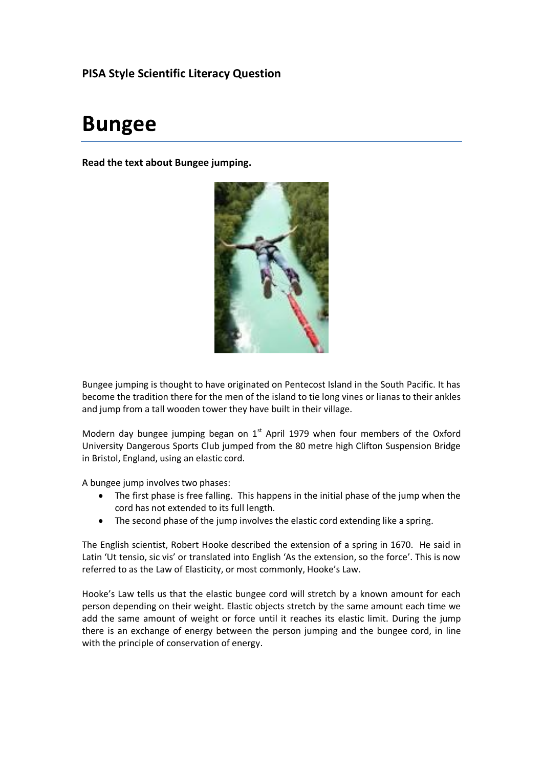# **PISA Style Scientific Literacy Question**

# **Bungee**

**Read the text about Bungee jumping.**



Bungee jumping is thought to have originated on Pentecost Island in the South Pacific. It has become the tradition there for the men of the island to tie long vines or lianas to their ankles and jump from a tall wooden tower they have built in their village.

Modern day bungee jumping began on  $1<sup>st</sup>$  April 1979 when four members of the Oxford University Dangerous Sports Club jumped from the 80 metre high Clifton Suspension Bridge in Bristol, England, using an elastic cord.

A bungee jump involves two phases:

- The first phase is free falling. This happens in the initial phase of the jump when the cord has not extended to its full length.
- The second phase of the jump involves the elastic cord extending like a spring.

The English scientist, Robert Hooke described the extension of a spring in 1670. He said in Latin 'Ut tensio, sic vis' or translated into English 'As the extension, so the force'. This is now referred to as the Law of Elasticity, or most commonly, Hooke's Law.

Hooke's Law tells us that the elastic bungee cord will stretch by a known amount for each person depending on their weight. Elastic objects stretch by the same amount each time we add the same amount of weight or force until it reaches its elastic limit. During the jump there is an exchange of energy between the person jumping and the bungee cord, in line with the principle of conservation of energy.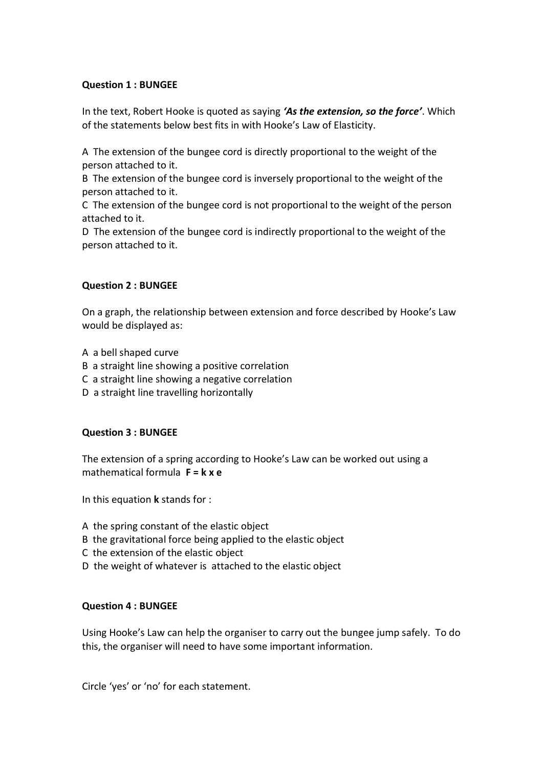## **Question 1 : BUNGEE**

In the text, Robert Hooke is quoted as saying *'As the extension, so the force'*. Which of the statements below best fits in with Hooke's Law of Elasticity.

A The extension of the bungee cord is directly proportional to the weight of the person attached to it.

B The extension of the bungee cord is inversely proportional to the weight of the person attached to it.

C The extension of the bungee cord is not proportional to the weight of the person attached to it.

D The extension of the bungee cord is indirectly proportional to the weight of the person attached to it.

## **Question 2 : BUNGEE**

On a graph, the relationship between extension and force described by Hooke's Law would be displayed as:

- A a bell shaped curve
- B a straight line showing a positive correlation
- C a straight line showing a negative correlation
- D a straight line travelling horizontally

## **Question 3 : BUNGEE**

The extension of a spring according to Hooke's Law can be worked out using a mathematical formula **F = k x e**

In this equation **k** stands for :

- A the spring constant of the elastic object
- B the gravitational force being applied to the elastic object
- C the extension of the elastic object
- D the weight of whatever is attached to the elastic object

## **Question 4 : BUNGEE**

Using Hooke's Law can help the organiser to carry out the bungee jump safely. To do this, the organiser will need to have some important information.

Circle 'yes' or 'no' for each statement.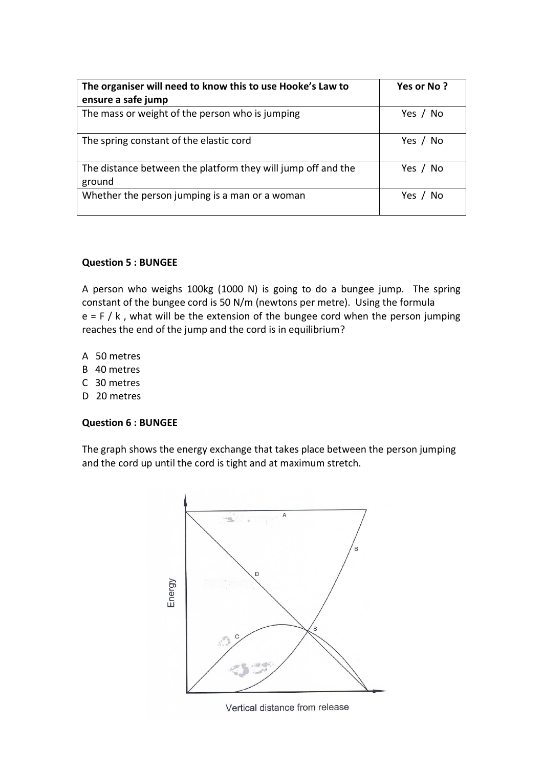| The organiser will need to know this to use Hooke's Law to<br>ensure a safe jump | Yes or No? |
|----------------------------------------------------------------------------------|------------|
| The mass or weight of the person who is jumping                                  | Yes / No   |
| The spring constant of the elastic cord                                          | Yes / No   |
| The distance between the platform they will jump off and the<br>ground           | Yes / No   |
| Whether the person jumping is a man or a woman                                   | Yes        |

## **Question 5 : BUNGEE**

A person who weighs 100kg (1000 N) is going to do a bungee jump. The spring constant of the bungee cord is 50 N/m (newtons per metre). Using the formula  $e = F / k$ , what will be the extension of the bungee cord when the person jumping reaches the end of the jump and the cord is in equilibrium?

- A 50 metres
- B 40 metres
- C 30 metres
- D 20 metres

## **Question 6 : BUNGEE**

The graph shows the energy exchange that takes place between the person jumping and the cord up until the cord is tight and at maximum stretch.

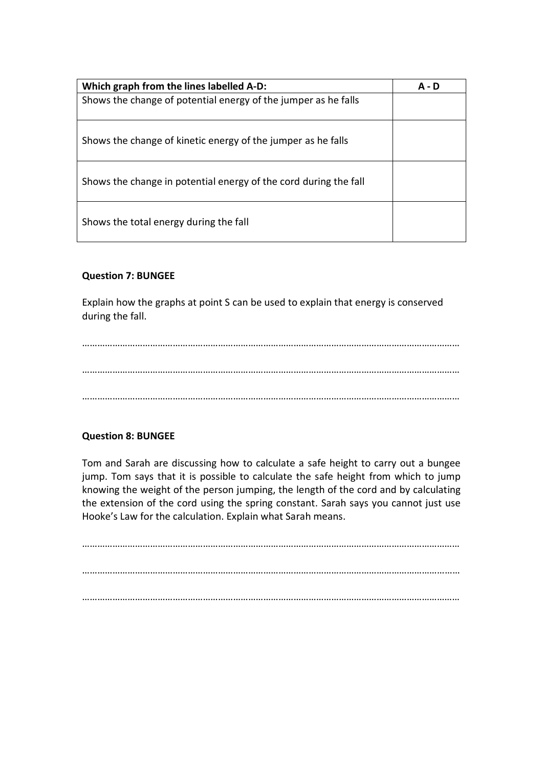| Which graph from the lines labelled A-D:                         | A - D |
|------------------------------------------------------------------|-------|
| Shows the change of potential energy of the jumper as he falls   |       |
| Shows the change of kinetic energy of the jumper as he falls     |       |
| Shows the change in potential energy of the cord during the fall |       |
| Shows the total energy during the fall                           |       |

# **Question 7: BUNGEE**

Explain how the graphs at point S can be used to explain that energy is conserved during the fall.

…………………………………………………………………………………………………………………………………… …………………………………………………………………………………………………………………………………… ……………………………………………………………………………………………………………………………………

## **Question 8: BUNGEE**

Tom and Sarah are discussing how to calculate a safe height to carry out a bungee jump. Tom says that it is possible to calculate the safe height from which to jump knowing the weight of the person jumping, the length of the cord and by calculating the extension of the cord using the spring constant. Sarah says you cannot just use Hooke's Law for the calculation. Explain what Sarah means.

…………………………………………………………………………………………………………………………………… …………………………………………………………………………………………………………………………………… ……………………………………………………………………………………………………………………………………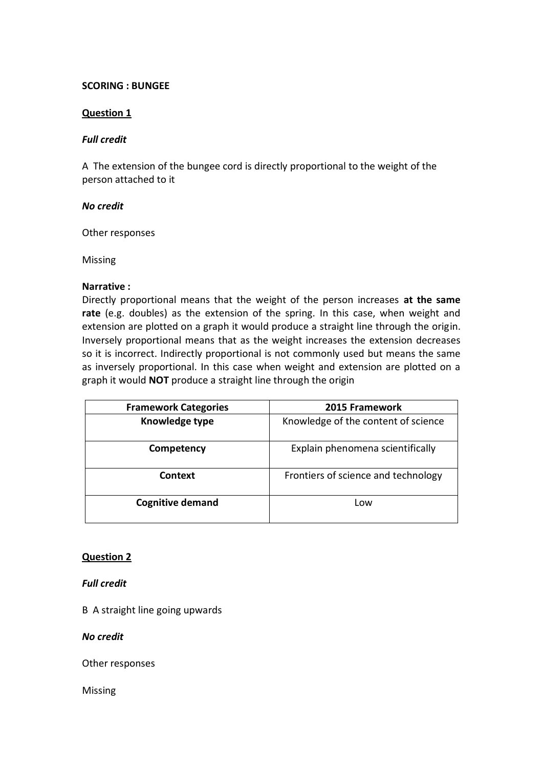## **SCORING : BUNGEE**

#### **Question 1**

#### *Full credit*

A The extension of the bungee cord is directly proportional to the weight of the person attached to it

#### *No credit*

Other responses

Missing

## **Narrative :**

Directly proportional means that the weight of the person increases **at the same rate** (e.g. doubles) as the extension of the spring. In this case, when weight and extension are plotted on a graph it would produce a straight line through the origin. Inversely proportional means that as the weight increases the extension decreases so it is incorrect. Indirectly proportional is not commonly used but means the same as inversely proportional. In this case when weight and extension are plotted on a graph it would **NOT** produce a straight line through the origin

| <b>Framework Categories</b> | 2015 Framework                      |
|-----------------------------|-------------------------------------|
| Knowledge type              | Knowledge of the content of science |
| Competency                  | Explain phenomena scientifically    |
| <b>Context</b>              | Frontiers of science and technology |
| <b>Cognitive demand</b>     | Low                                 |

#### **Question 2**

#### *Full credit*

B A straight line going upwards

*No credit*

Other responses

Missing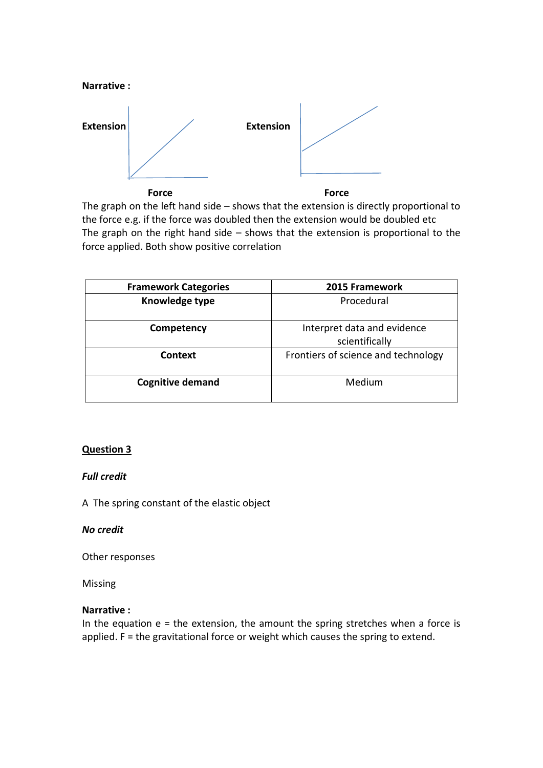

The graph on the left hand side – shows that the extension is directly proportional to the force e.g. if the force was doubled then the extension would be doubled etc The graph on the right hand side – shows that the extension is proportional to the force applied. Both show positive correlation

| <b>Framework Categories</b> | 2015 Framework                                |
|-----------------------------|-----------------------------------------------|
| Knowledge type              | Procedural                                    |
| Competency                  | Interpret data and evidence<br>scientifically |
| <b>Context</b>              | Frontiers of science and technology           |
| <b>Cognitive demand</b>     | Medium                                        |

# **Question 3**

## *Full credit*

A The spring constant of the elastic object

## *No credit*

Other responses

Missing

## **Narrative :**

In the equation  $e =$  the extension, the amount the spring stretches when a force is applied. F = the gravitational force or weight which causes the spring to extend.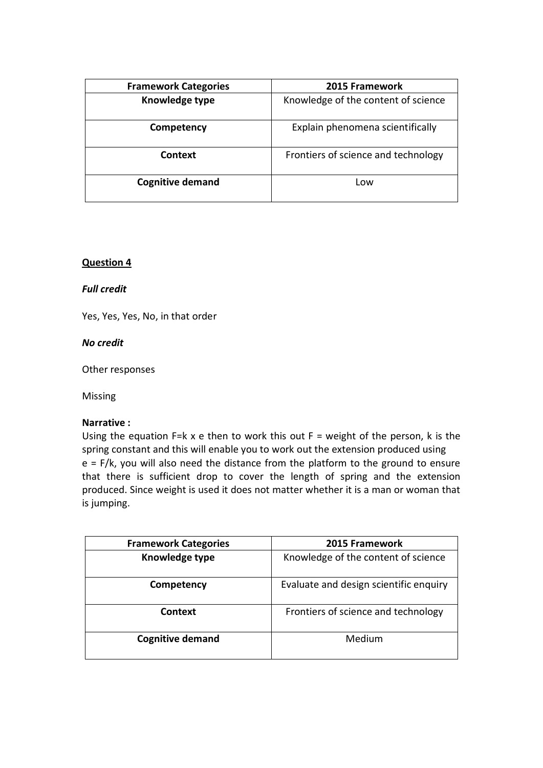| <b>Framework Categories</b> | 2015 Framework                      |
|-----------------------------|-------------------------------------|
| Knowledge type              | Knowledge of the content of science |
| Competency                  | Explain phenomena scientifically    |
| <b>Context</b>              | Frontiers of science and technology |
| <b>Cognitive demand</b>     | Low                                 |

## **Question 4**

## *Full credit*

Yes, Yes, Yes, No, in that order

#### *No credit*

Other responses

Missing

## **Narrative :**

Using the equation F=k x e then to work this out  $F =$  weight of the person, k is the spring constant and this will enable you to work out the extension produced using  $e = F/k$ , you will also need the distance from the platform to the ground to ensure that there is sufficient drop to cover the length of spring and the extension produced. Since weight is used it does not matter whether it is a man or woman that is jumping.

| <b>Framework Categories</b> | 2015 Framework                         |
|-----------------------------|----------------------------------------|
| Knowledge type              | Knowledge of the content of science    |
| Competency                  | Evaluate and design scientific enquiry |
| <b>Context</b>              | Frontiers of science and technology    |
| <b>Cognitive demand</b>     | Medium                                 |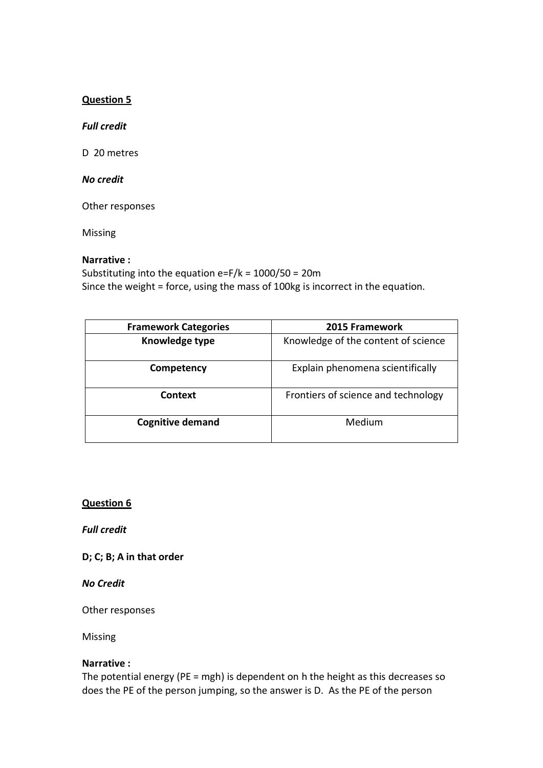## **Question 5**

#### *Full credit*

D 20 metres

## *No credit*

Other responses

Missing

## **Narrative :**

Substituting into the equation e=F/k = 1000/50 = 20m Since the weight = force, using the mass of 100kg is incorrect in the equation.

| <b>Framework Categories</b> | 2015 Framework                      |
|-----------------------------|-------------------------------------|
| Knowledge type              | Knowledge of the content of science |
| Competency                  | Explain phenomena scientifically    |
| <b>Context</b>              | Frontiers of science and technology |
| <b>Cognitive demand</b>     | Medium                              |

## **Question 6**

*Full credit*

**D; C; B; A in that order**

*No Credit*

Other responses

Missing

## **Narrative :**

The potential energy (PE = mgh) is dependent on h the height as this decreases so does the PE of the person jumping, so the answer is D. As the PE of the person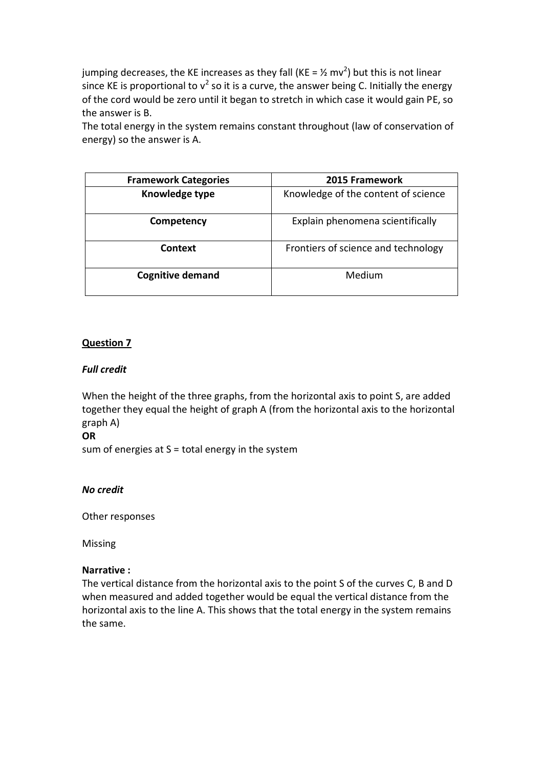jumping decreases, the KE increases as they fall (KE =  $\frac{1}{2}$  mv<sup>2</sup>) but this is not linear since KE is proportional to  $v^2$  so it is a curve, the answer being C. Initially the energy of the cord would be zero until it began to stretch in which case it would gain PE, so the answer is B.

The total energy in the system remains constant throughout (law of conservation of energy) so the answer is A.

| <b>Framework Categories</b> | 2015 Framework                      |
|-----------------------------|-------------------------------------|
| Knowledge type              | Knowledge of the content of science |
| Competency                  | Explain phenomena scientifically    |
| <b>Context</b>              | Frontiers of science and technology |
| <b>Cognitive demand</b>     | Medium                              |

# **Question 7**

## *Full credit*

When the height of the three graphs, from the horizontal axis to point S, are added together they equal the height of graph A (from the horizontal axis to the horizontal graph A)

#### **OR**

sum of energies at  $S =$  total energy in the system

## *No credit*

Other responses

Missing

## **Narrative :**

The vertical distance from the horizontal axis to the point S of the curves C, B and D when measured and added together would be equal the vertical distance from the horizontal axis to the line A. This shows that the total energy in the system remains the same.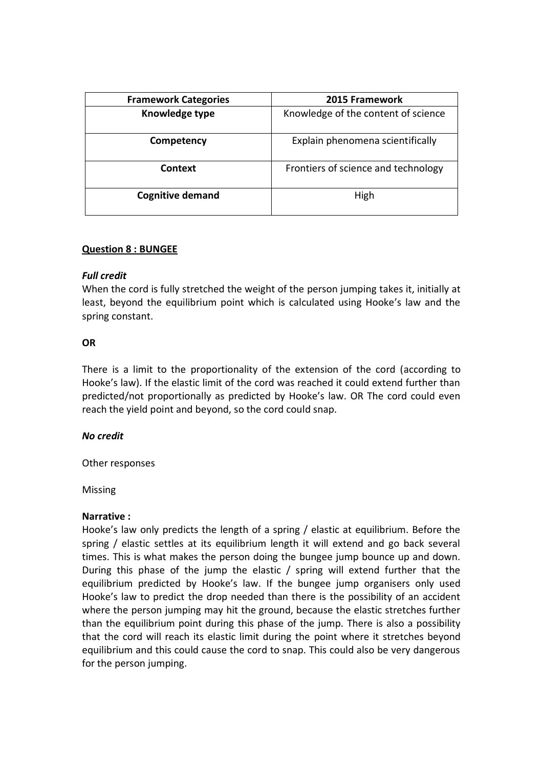| <b>Framework Categories</b> | 2015 Framework                      |
|-----------------------------|-------------------------------------|
| Knowledge type              | Knowledge of the content of science |
| Competency                  | Explain phenomena scientifically    |
| Context                     | Frontiers of science and technology |
| <b>Cognitive demand</b>     | High                                |

## **Question 8 : BUNGEE**

#### *Full credit*

When the cord is fully stretched the weight of the person jumping takes it, initially at least, beyond the equilibrium point which is calculated using Hooke's law and the spring constant.

#### **OR**

There is a limit to the proportionality of the extension of the cord (according to Hooke's law). If the elastic limit of the cord was reached it could extend further than predicted/not proportionally as predicted by Hooke's law. OR The cord could even reach the yield point and beyond, so the cord could snap.

## *No credit*

Other responses

Missing

#### **Narrative :**

Hooke's law only predicts the length of a spring / elastic at equilibrium. Before the spring / elastic settles at its equilibrium length it will extend and go back several times. This is what makes the person doing the bungee jump bounce up and down. During this phase of the jump the elastic / spring will extend further that the equilibrium predicted by Hooke's law. If the bungee jump organisers only used Hooke's law to predict the drop needed than there is the possibility of an accident where the person jumping may hit the ground, because the elastic stretches further than the equilibrium point during this phase of the jump. There is also a possibility that the cord will reach its elastic limit during the point where it stretches beyond equilibrium and this could cause the cord to snap. This could also be very dangerous for the person jumping.